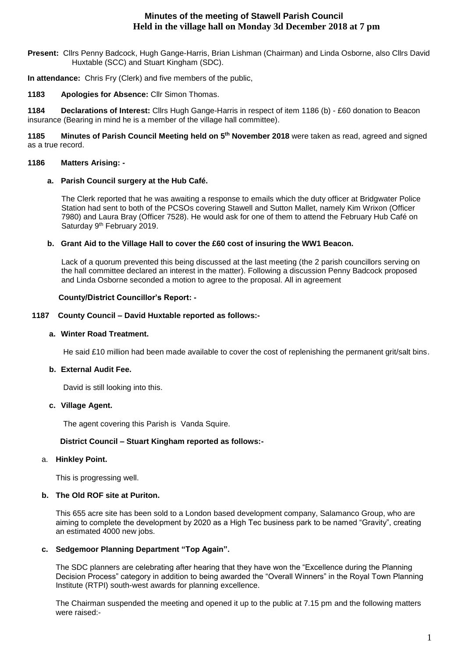# **Minutes of the meeting of Stawell Parish Council Held in the village hall on Monday 3d December 2018 at 7 pm**

**Present:** Cllrs Penny Badcock, Hugh Gange-Harris, Brian Lishman (Chairman) and Linda Osborne, also Cllrs David Huxtable (SCC) and Stuart Kingham (SDC).

**In attendance:** Chris Fry (Clerk) and five members of the public,

**1183 Apologies for Absence:** Cllr Simon Thomas.

**1184 Declarations of Interest:** Cllrs Hugh Gange-Harris in respect of item 1186 (b) - £60 donation to Beacon insurance (Bearing in mind he is a member of the village hall committee).

**1185 Minutes of Parish Council Meeting held on 5 th November 2018** were taken as read, agreed and signed as a true record.

## **1186 Matters Arising: -**

## **a. Parish Council surgery at the Hub Café.**

The Clerk reported that he was awaiting a response to emails which the duty officer at Bridgwater Police Station had sent to both of the PCSOs covering Stawell and Sutton Mallet, namely Kim Wrixon (Officer 7980) and Laura Bray (Officer 7528). He would ask for one of them to attend the February Hub Café on Saturday 9<sup>th</sup> February 2019.

## **b. Grant Aid to the Village Hall to cover the £60 cost of insuring the WW1 Beacon.**

Lack of a quorum prevented this being discussed at the last meeting (the 2 parish councillors serving on the hall committee declared an interest in the matter). Following a discussion Penny Badcock proposed and Linda Osborne seconded a motion to agree to the proposal. All in agreement

## **County/District Councillor's Report: -**

## **1187 County Council – David Huxtable reported as follows:-**

#### **a. Winter Road Treatment.**

He said £10 million had been made available to cover the cost of replenishing the permanent grit/salt bins.

## **b. External Audit Fee.**

David is still looking into this.

#### **c. Village Agent.**

The agent covering this Parish is Vanda Squire.

## **District Council – Stuart Kingham reported as follows:-**

## a. **Hinkley Point.**

This is progressing well.

## **b. The Old ROF site at Puriton.**

This 655 acre site has been sold to a London based development company, Salamanco Group, who are aiming to complete the development by 2020 as a High Tec business park to be named "Gravity", creating an estimated 4000 new jobs.

#### **c. Sedgemoor Planning Department "Top Again".**

The SDC planners are celebrating after hearing that they have won the "Excellence during the Planning Decision Process" category in addition to being awarded the "Overall Winners" in the Royal Town Planning Institute (RTPI) south-west awards for planning excellence.

The Chairman suspended the meeting and opened it up to the public at 7.15 pm and the following matters were raised:-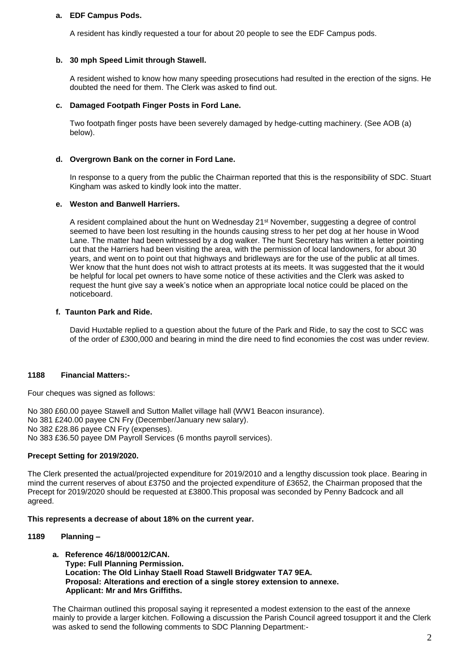#### **a. EDF Campus Pods.**

A resident has kindly requested a tour for about 20 people to see the EDF Campus pods.

#### **b. 30 mph Speed Limit through Stawell.**

A resident wished to know how many speeding prosecutions had resulted in the erection of the signs. He doubted the need for them. The Clerk was asked to find out.

#### **c. Damaged Footpath Finger Posts in Ford Lane.**

Two footpath finger posts have been severely damaged by hedge-cutting machinery. (See AOB (a) below).

#### **d. Overgrown Bank on the corner in Ford Lane.**

In response to a query from the public the Chairman reported that this is the responsibility of SDC. Stuart Kingham was asked to kindly look into the matter.

#### **e. Weston and Banwell Harriers.**

A resident complained about the hunt on Wednesday 21<sup>st</sup> November, suggesting a degree of control seemed to have been lost resulting in the hounds causing stress to her pet dog at her house in Wood Lane. The matter had been witnessed by a dog walker. The hunt Secretary has written a letter pointing out that the Harriers had been visiting the area, with the permission of local landowners, for about 30 years, and went on to point out that highways and bridleways are for the use of the public at all times. Wer know that the hunt does not wish to attract protests at its meets. It was suggested that the it would be helpful for local pet owners to have some notice of these activities and the Clerk was asked to request the hunt give say a week's notice when an appropriate local notice could be placed on the noticeboard.

## **f. Taunton Park and Ride.**

David Huxtable replied to a question about the future of the Park and Ride, to say the cost to SCC was of the order of £300,000 and bearing in mind the dire need to find economies the cost was under review.

#### **1188 Financial Matters:-**

Four cheques was signed as follows:

No 380 £60.00 payee Stawell and Sutton Mallet village hall (WW1 Beacon insurance). No 381 £240.00 payee CN Fry (December/January new salary). No 382 £28.86 payee CN Fry (expenses). No 383 £36.50 payee DM Payroll Services (6 months payroll services).

## **Precept Setting for 2019/2020.**

The Clerk presented the actual/projected expenditure for 2019/2010 and a lengthy discussion took place. Bearing in mind the current reserves of about £3750 and the projected expenditure of £3652, the Chairman proposed that the Precept for 2019/2020 should be requested at £3800.This proposal was seconded by Penny Badcock and all agreed.

#### **This represents a decrease of about 18% on the current year.**

#### **1189 Planning –**

**a. Reference 46/18/00012/CAN. Type: Full Planning Permission. Location: The Old Linhay Staell Road Stawell Bridgwater TA7 9EA. Proposal: Alterations and erection of a single storey extension to annexe. Applicant: Mr and Mrs Griffiths.**

The Chairman outlined this proposal saying it represented a modest extension to the east of the annexe mainly to provide a larger kitchen. Following a discussion the Parish Council agreed tosupport it and the Clerk was asked to send the following comments to SDC Planning Department:-